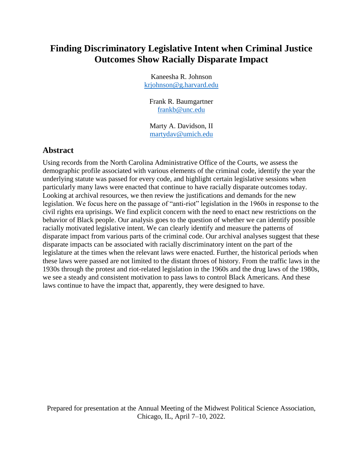## **Finding Discriminatory Legislative Intent when Criminal Justice Outcomes Show Racially Disparate Impact**

Kaneesha R. Johnson [krjohnson@g.harvard.edu](mailto:krjohnson@g.harvard.edu)

Frank R. Baumgartner [frankb@unc.edu](mailto:frankb@unc.edu)

Marty A. Davidson, II [martydav@umich.edu](mailto:martydav@umich.edu)

## **Abstract**

Using records from the North Carolina Administrative Office of the Courts, we assess the demographic profile associated with various elements of the criminal code, identify the year the underlying statute was passed for every code, and highlight certain legislative sessions when particularly many laws were enacted that continue to have racially disparate outcomes today. Looking at archival resources, we then review the justifications and demands for the new legislation. We focus here on the passage of "anti-riot" legislation in the 1960s in response to the civil rights era uprisings. We find explicit concern with the need to enact new restrictions on the behavior of Black people. Our analysis goes to the question of whether we can identify possible racially motivated legislative intent. We can clearly identify and measure the patterns of disparate impact from various parts of the criminal code. Our archival analyses suggest that these disparate impacts can be associated with racially discriminatory intent on the part of the legislature at the times when the relevant laws were enacted. Further, the historical periods when these laws were passed are not limited to the distant throes of history. From the traffic laws in the 1930s through the protest and riot-related legislation in the 1960s and the drug laws of the 1980s, we see a steady and consistent motivation to pass laws to control Black Americans. And these laws continue to have the impact that, apparently, they were designed to have.

Prepared for presentation at the Annual Meeting of the Midwest Political Science Association, Chicago, IL, April 7–10, 2022.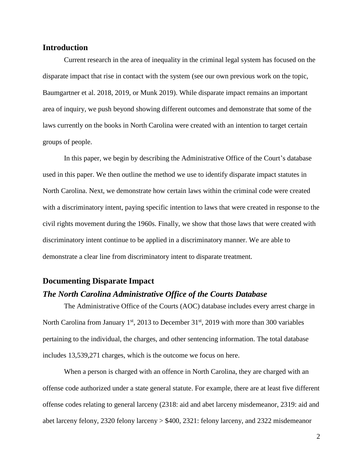#### **Introduction**

Current research in the area of inequality in the criminal legal system has focused on the disparate impact that rise in contact with the system (see our own previous work on the topic, Baumgartner et al. 2018, 2019, or Munk 2019). While disparate impact remains an important area of inquiry, we push beyond showing different outcomes and demonstrate that some of the laws currently on the books in North Carolina were created with an intention to target certain groups of people.

In this paper, we begin by describing the Administrative Office of the Court's database used in this paper. We then outline the method we use to identify disparate impact statutes in North Carolina. Next, we demonstrate how certain laws within the criminal code were created with a discriminatory intent, paying specific intention to laws that were created in response to the civil rights movement during the 1960s. Finally, we show that those laws that were created with discriminatory intent continue to be applied in a discriminatory manner. We are able to demonstrate a clear line from discriminatory intent to disparate treatment.

#### **Documenting Disparate Impact**

#### *The North Carolina Administrative Office of the Courts Database*

The Administrative Office of the Courts (AOC) database includes every arrest charge in North Carolina from January  $1<sup>st</sup>$ , 2013 to December 31 $<sup>st</sup>$ , 2019 with more than 300 variables</sup> pertaining to the individual, the charges, and other sentencing information. The total database includes 13,539,271 charges, which is the outcome we focus on here.

When a person is charged with an offence in North Carolina, they are charged with an offense code authorized under a state general statute. For example, there are at least five different offense codes relating to general larceny (2318: aid and abet larceny misdemeanor, 2319: aid and abet larceny felony, 2320 felony larceny > \$400, 2321: felony larceny, and 2322 misdemeanor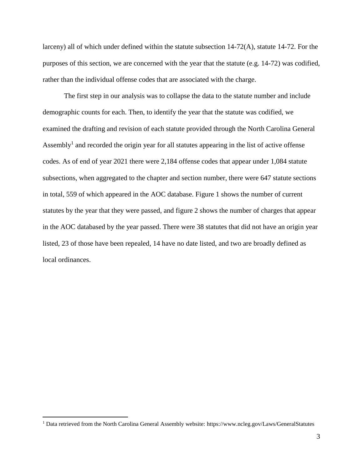larceny) all of which under defined within the statute subsection 14-72(A), statute 14-72. For the purposes of this section, we are concerned with the year that the statute (e.g. 14-72) was codified, rather than the individual offense codes that are associated with the charge.

The first step in our analysis was to collapse the data to the statute number and include demographic counts for each. Then, to identify the year that the statute was codified, we examined the drafting and revision of each statute provided through the North Carolina General Assembly<sup>1</sup> and recorded the origin year for all statutes appearing in the list of active offense codes. As of end of year 2021 there were 2,184 offense codes that appear under 1,084 statute subsections, when aggregated to the chapter and section number, there were 647 statute sections in total, 559 of which appeared in the AOC database. Figure 1 shows the number of current statutes by the year that they were passed, and figure 2 shows the number of charges that appear in the AOC databased by the year passed. There were 38 statutes that did not have an origin year listed, 23 of those have been repealed, 14 have no date listed, and two are broadly defined as local ordinances.

 $\overline{a}$ 

<sup>1</sup> Data retrieved from the North Carolina General Assembly website: https://www.ncleg.gov/Laws/GeneralStatutes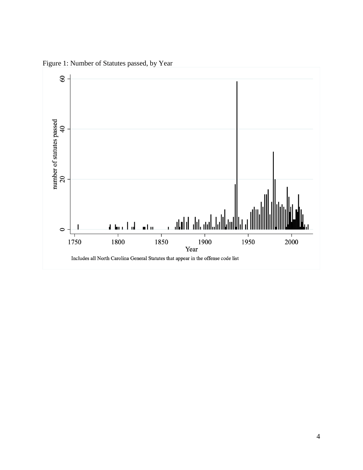

Figure 1: Number of Statutes passed, by Year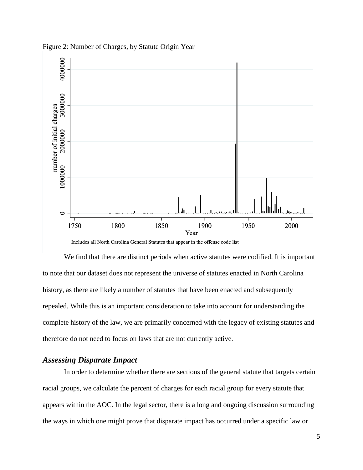

Figure 2: Number of Charges, by Statute Origin Year

We find that there are distinct periods when active statutes were codified. It is important to note that our dataset does not represent the universe of statutes enacted in North Carolina history, as there are likely a number of statutes that have been enacted and subsequently repealed. While this is an important consideration to take into account for understanding the complete history of the law, we are primarily concerned with the legacy of existing statutes and therefore do not need to focus on laws that are not currently active.

## *Assessing Disparate Impact*

In order to determine whether there are sections of the general statute that targets certain racial groups, we calculate the percent of charges for each racial group for every statute that appears within the AOC. In the legal sector, there is a long and ongoing discussion surrounding the ways in which one might prove that disparate impact has occurred under a specific law or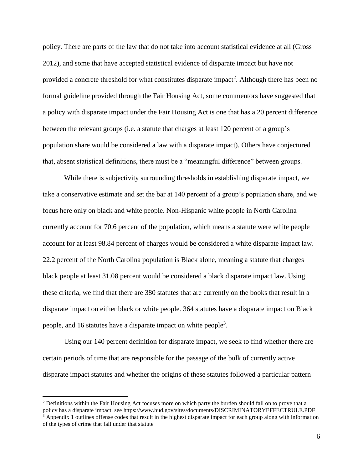policy. There are parts of the law that do not take into account statistical evidence at all (Gross 2012), and some that have accepted statistical evidence of disparate impact but have not provided a concrete threshold for what constitutes disparate impact<sup>2</sup>. Although there has been no formal guideline provided through the Fair Housing Act, some commentors have suggested that a policy with disparate impact under the Fair Housing Act is one that has a 20 percent difference between the relevant groups (i.e. a statute that charges at least 120 percent of a group's population share would be considered a law with a disparate impact). Others have conjectured that, absent statistical definitions, there must be a "meaningful difference" between groups.

While there is subjectivity surrounding thresholds in establishing disparate impact, we take a conservative estimate and set the bar at 140 percent of a group's population share, and we focus here only on black and white people. Non-Hispanic white people in North Carolina currently account for 70.6 percent of the population, which means a statute were white people account for at least 98.84 percent of charges would be considered a white disparate impact law. 22.2 percent of the North Carolina population is Black alone, meaning a statute that charges black people at least 31.08 percent would be considered a black disparate impact law. Using these criteria, we find that there are 380 statutes that are currently on the books that result in a disparate impact on either black or white people. 364 statutes have a disparate impact on Black people, and 16 statutes have a disparate impact on white people<sup>3</sup>.

Using our 140 percent definition for disparate impact, we seek to find whether there are certain periods of time that are responsible for the passage of the bulk of currently active disparate impact statutes and whether the origins of these statutes followed a particular pattern

 $\overline{a}$ 

<sup>&</sup>lt;sup>2</sup> Definitions within the Fair Housing Act focuses more on which party the burden should fall on to prove that a policy has a disparate impact, see https://www.hud.gov/sites/documents/DISCRIMINATORYEFFECTRULE.PDF  $3$  Appendix 1 outlines offense codes that result in the highest disparate impact for each group along with information of the types of crime that fall under that statute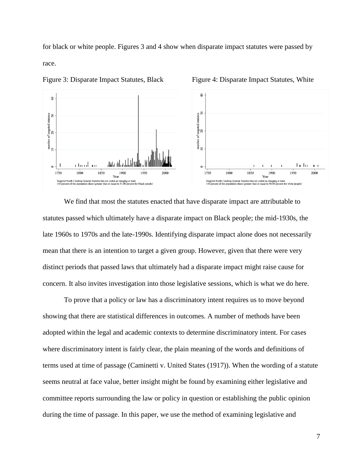for black or white people. Figures 3 and 4 show when disparate impact statutes were passed by race.



Figure 3: Disparate Impact Statutes, Black Figure 4: Disparate Impact Statutes, White

We find that most the statutes enacted that have disparate impact are attributable to statutes passed which ultimately have a disparate impact on Black people; the mid-1930s, the late 1960s to 1970s and the late-1990s. Identifying disparate impact alone does not necessarily mean that there is an intention to target a given group. However, given that there were very distinct periods that passed laws that ultimately had a disparate impact might raise cause for concern. It also invites investigation into those legislative sessions, which is what we do here.

To prove that a policy or law has a discriminatory intent requires us to move beyond showing that there are statistical differences in outcomes. A number of methods have been adopted within the legal and academic contexts to determine discriminatory intent. For cases where discriminatory intent is fairly clear, the plain meaning of the words and definitions of terms used at time of passage (Caminetti v. United States (1917)). When the wording of a statute seems neutral at face value, better insight might be found by examining either legislative and committee reports surrounding the law or policy in question or establishing the public opinion during the time of passage. In this paper, we use the method of examining legislative and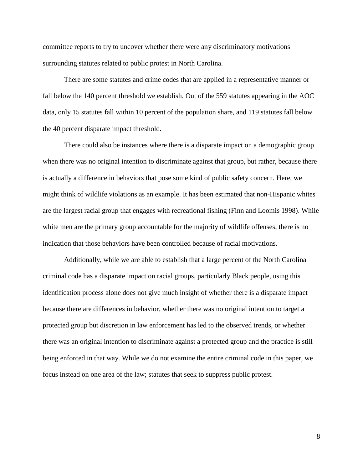committee reports to try to uncover whether there were any discriminatory motivations surrounding statutes related to public protest in North Carolina.

There are some statutes and crime codes that are applied in a representative manner or fall below the 140 percent threshold we establish. Out of the 559 statutes appearing in the AOC data, only 15 statutes fall within 10 percent of the population share, and 119 statutes fall below the 40 percent disparate impact threshold.

There could also be instances where there is a disparate impact on a demographic group when there was no original intention to discriminate against that group, but rather, because there is actually a difference in behaviors that pose some kind of public safety concern. Here, we might think of wildlife violations as an example. It has been estimated that non-Hispanic whites are the largest racial group that engages with recreational fishing (Finn and Loomis 1998). While white men are the primary group accountable for the majority of wildlife offenses, there is no indication that those behaviors have been controlled because of racial motivations.

Additionally, while we are able to establish that a large percent of the North Carolina criminal code has a disparate impact on racial groups, particularly Black people, using this identification process alone does not give much insight of whether there is a disparate impact because there are differences in behavior, whether there was no original intention to target a protected group but discretion in law enforcement has led to the observed trends, or whether there was an original intention to discriminate against a protected group and the practice is still being enforced in that way. While we do not examine the entire criminal code in this paper, we focus instead on one area of the law; statutes that seek to suppress public protest.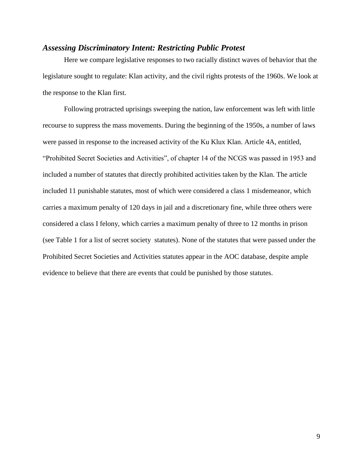#### *Assessing Discriminatory Intent: Restricting Public Protest*

Here we compare legislative responses to two racially distinct waves of behavior that the legislature sought to regulate: Klan activity, and the civil rights protests of the 1960s. We look at the response to the Klan first.

Following protracted uprisings sweeping the nation, law enforcement was left with little recourse to suppress the mass movements. During the beginning of the 1950s, a number of laws were passed in response to the increased activity of the Ku Klux Klan. Article 4A, entitled, "Prohibited Secret Societies and Activities", of chapter 14 of the NCGS was passed in 1953 and included a number of statutes that directly prohibited activities taken by the Klan. The article included 11 punishable statutes, most of which were considered a class 1 misdemeanor, which carries a maximum penalty of 120 days in jail and a discretionary fine, while three others were considered a class I felony, which carries a maximum penalty of three to 12 months in prison (see Table 1 for a list of secret society statutes). None of the statutes that were passed under the Prohibited Secret Societies and Activities statutes appear in the AOC database, despite ample evidence to believe that there are events that could be punished by those statutes.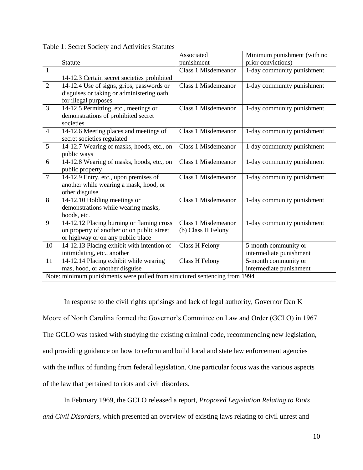|                                                                            |                                             | Associated            | Minimum punishment (with no |  |
|----------------------------------------------------------------------------|---------------------------------------------|-----------------------|-----------------------------|--|
|                                                                            | Statute                                     | punishment            | prior convictions)          |  |
| $\mathbf{1}$                                                               |                                             | Class 1 Misdemeanor   | 1-day community punishment  |  |
|                                                                            | 14-12.3 Certain secret societies prohibited |                       |                             |  |
| 2                                                                          | 14-12.4 Use of signs, grips, passwords or   | Class 1 Misdemeanor   | 1-day community punishment  |  |
|                                                                            | disguises or taking or administering oath   |                       |                             |  |
|                                                                            | for illegal purposes                        |                       |                             |  |
| 3                                                                          | 14-12.5 Permitting, etc., meetings or       | Class 1 Misdemeanor   | 1-day community punishment  |  |
|                                                                            | demonstrations of prohibited secret         |                       |                             |  |
|                                                                            | societies                                   |                       |                             |  |
| $\overline{4}$                                                             | 14-12.6 Meeting places and meetings of      | Class 1 Misdemeanor   | 1-day community punishment  |  |
|                                                                            | secret societies regulated                  |                       |                             |  |
| $\overline{5}$                                                             | 14-12.7 Wearing of masks, hoods, etc., on   | Class 1 Misdemeanor   | 1-day community punishment  |  |
|                                                                            | public ways                                 |                       |                             |  |
| 6                                                                          | 14-12.8 Wearing of masks, hoods, etc., on   | Class 1 Misdemeanor   | 1-day community punishment  |  |
|                                                                            | public property                             |                       |                             |  |
| $\overline{7}$                                                             | 14-12.9 Entry, etc., upon premises of       | Class 1 Misdemeanor   | 1-day community punishment  |  |
|                                                                            | another while wearing a mask, hood, or      |                       |                             |  |
|                                                                            | other disguise                              |                       |                             |  |
| 8                                                                          | 14-12.10 Holding meetings or                | Class 1 Misdemeanor   | 1-day community punishment  |  |
|                                                                            | demonstrations while wearing masks,         |                       |                             |  |
|                                                                            | hoods, etc.                                 |                       |                             |  |
| 9                                                                          | 14-12.12 Placing burning or flaming cross   | Class 1 Misdemeanor   | 1-day community punishment  |  |
|                                                                            | on property of another or on public street  | (b) Class H Felony    |                             |  |
|                                                                            | or highway or on any public place           |                       |                             |  |
| 10                                                                         | 14-12.13 Placing exhibit with intention of  | <b>Class H Felony</b> | 5-month community or        |  |
|                                                                            | intimidating, etc., another                 |                       | intermediate punishment     |  |
| 11                                                                         | 14-12.14 Placing exhibit while wearing      | Class H Felony        | 5-month community or        |  |
|                                                                            | mas, hood, or another disguise              |                       | intermediate punishment     |  |
| Note: minimum punishments were pulled from structured sentencing from 1994 |                                             |                       |                             |  |

Table 1: Secret Society and Activities Statutes

In response to the civil rights uprisings and lack of legal authority, Governor Dan K Moore of North Carolina formed the Governor's Committee on Law and Order (GCLO) in 1967. The GCLO was tasked with studying the existing criminal code, recommending new legislation, and providing guidance on how to reform and build local and state law enforcement agencies with the influx of funding from federal legislation. One particular focus was the various aspects of the law that pertained to riots and civil disorders.

In February 1969, the GCLO released a report, *Proposed Legislation Relating to Riots* 

*and Civil Disorders*, which presented an overview of existing laws relating to civil unrest and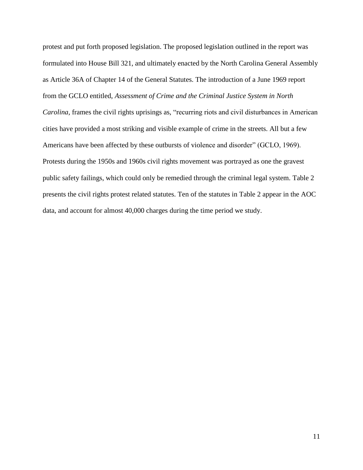protest and put forth proposed legislation. The proposed legislation outlined in the report was formulated into House Bill 321, and ultimately enacted by the North Carolina General Assembly as Article 36A of Chapter 14 of the General Statutes. The introduction of a June 1969 report from the GCLO entitled, *Assessment of Crime and the Criminal Justice System in North Carolina*, frames the civil rights uprisings as, "recurring riots and civil disturbances in American cities have provided a most striking and visible example of crime in the streets. All but a few Americans have been affected by these outbursts of violence and disorder" (GCLO, 1969). Protests during the 1950s and 1960s civil rights movement was portrayed as one the gravest public safety failings, which could only be remedied through the criminal legal system. Table 2 presents the civil rights protest related statutes. Ten of the statutes in Table 2 appear in the AOC data, and account for almost 40,000 charges during the time period we study.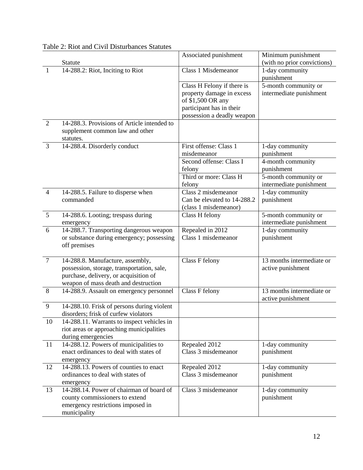|                |                                             | Associated punishment       | Minimum punishment          |
|----------------|---------------------------------------------|-----------------------------|-----------------------------|
|                | Statute                                     |                             | (with no prior convictions) |
| 1              | 14-288.2: Riot, Inciting to Riot            | Class 1 Misdemeanor         | 1-day community             |
|                |                                             |                             | punishment                  |
|                |                                             | Class H Felony if there is  | 5-month community or        |
|                |                                             | property damage in excess   | intermediate punishment     |
|                |                                             | of \$1,500 OR any           |                             |
|                |                                             | participant has in their    |                             |
|                |                                             | possession a deadly weapon  |                             |
| 2              | 14-288.3. Provisions of Article intended to |                             |                             |
|                | supplement common law and other             |                             |                             |
|                | statutes.                                   |                             |                             |
| 3              | 14-288.4. Disorderly conduct                | First offense: Class 1      | 1-day community             |
|                |                                             | misdemeanor                 | punishment                  |
|                |                                             | Second offense: Class I     | 4-month community           |
|                |                                             | felony                      | punishment                  |
|                |                                             | Third or more: Class H      | 5-month community or        |
|                |                                             | felony                      | intermediate punishment     |
| $\overline{4}$ | 14-288.5. Failure to disperse when          | Class 2 misdemeanor         | 1-day community             |
|                | commanded                                   | Can be elevated to 14-288.2 | punishment                  |
|                |                                             | (class 1 misdemeanor)       |                             |
| 5              | 14-288.6. Looting; trespass during          | Class H felony              | 5-month community or        |
|                | emergency                                   |                             | intermediate punishment     |
| 6              | 14-288.7. Transporting dangerous weapon     | Repealed in 2012            | 1-day community             |
|                | or substance during emergency; possessing   | Class 1 misdemeanor         | punishment                  |
|                | off premises                                |                             |                             |
| $\overline{7}$ | 14-288.8. Manufacture, assembly,            | Class F felony              | 13 months intermediate or   |
|                | possession, storage, transportation, sale,  |                             | active punishment           |
|                | purchase, delivery, or acquisition of       |                             |                             |
|                | weapon of mass death and destruction        |                             |                             |
| 8              | 14-288.9. Assault on emergency personnel    | Class F felony              | 13 months intermediate or   |
|                |                                             |                             | active punishment           |
| 9              | 14-288.10. Frisk of persons during violent  |                             |                             |
|                | disorders; frisk of curfew violators        |                             |                             |
| 10             | 14-288.11. Warrants to inspect vehicles in  |                             |                             |
|                | riot areas or approaching municipalities    |                             |                             |
|                | during emergencies                          |                             |                             |
| 11             | 14-288.12. Powers of municipalities to      | Repealed 2012               | 1-day community             |
|                | enact ordinances to deal with states of     | Class 3 misdemeanor         | punishment                  |
|                | emergency                                   |                             |                             |
| 12             | 14-288.13. Powers of counties to enact      | Repealed 2012               | 1-day community             |
|                | ordinances to deal with states of           | Class 3 misdemeanor         | punishment                  |
|                | emergency                                   |                             |                             |
| 13             | 14-288.14. Power of chairman of board of    | Class 3 misdemeanor         | 1-day community             |
|                | county commissioners to extend              |                             | punishment                  |
|                | emergency restrictions imposed in           |                             |                             |
|                | municipality                                |                             |                             |

## Table 2: Riot and Civil Disturbances Statutes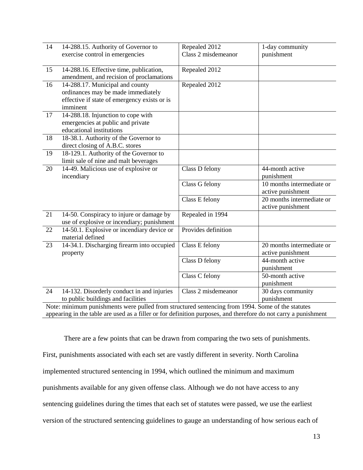| 14                                                                                                              | 14-288.15. Authority of Governor to          | Repealed 2012       | 1-day community           |  |  |
|-----------------------------------------------------------------------------------------------------------------|----------------------------------------------|---------------------|---------------------------|--|--|
|                                                                                                                 | exercise control in emergencies              | Class 2 misdemeanor | punishment                |  |  |
|                                                                                                                 |                                              |                     |                           |  |  |
| 15                                                                                                              | 14-288.16. Effective time, publication,      | Repealed 2012       |                           |  |  |
|                                                                                                                 | amendment, and recision of proclamations     |                     |                           |  |  |
| 16                                                                                                              | 14-288.17. Municipal and county              | Repealed 2012       |                           |  |  |
|                                                                                                                 | ordinances may be made immediately           |                     |                           |  |  |
|                                                                                                                 | effective if state of emergency exists or is |                     |                           |  |  |
|                                                                                                                 | imminent                                     |                     |                           |  |  |
| 17                                                                                                              | 14-288.18. Injunction to cope with           |                     |                           |  |  |
|                                                                                                                 | emergencies at public and private            |                     |                           |  |  |
|                                                                                                                 | educational institutions                     |                     |                           |  |  |
| 18                                                                                                              | 18-38.1. Authority of the Governor to        |                     |                           |  |  |
|                                                                                                                 | direct closing of A.B.C. stores              |                     |                           |  |  |
| 19                                                                                                              | 18-129.1. Authority of the Governor to       |                     |                           |  |  |
|                                                                                                                 | limit sale of nine and malt beverages        |                     |                           |  |  |
| 20                                                                                                              | 14-49. Malicious use of explosive or         | Class D felony      | 44-month active           |  |  |
|                                                                                                                 | incendiary                                   |                     | punishment                |  |  |
|                                                                                                                 |                                              | Class G felony      | 10 months intermediate or |  |  |
|                                                                                                                 |                                              |                     | active punishment         |  |  |
|                                                                                                                 |                                              | Class E felony      | 20 months intermediate or |  |  |
|                                                                                                                 |                                              |                     | active punishment         |  |  |
| 21                                                                                                              | 14-50. Conspiracy to injure or damage by     | Repealed in 1994    |                           |  |  |
|                                                                                                                 | use of explosive or incendiary; punishment   |                     |                           |  |  |
| 22                                                                                                              | 14-50.1. Explosive or incendiary device or   | Provides definition |                           |  |  |
|                                                                                                                 | material defined                             |                     |                           |  |  |
| 23                                                                                                              | 14-34.1. Discharging firearm into occupied   | Class E felony      | 20 months intermediate or |  |  |
|                                                                                                                 | property                                     |                     | active punishment         |  |  |
|                                                                                                                 |                                              | Class D felony      | 44-month active           |  |  |
|                                                                                                                 |                                              |                     | punishment                |  |  |
|                                                                                                                 |                                              | Class C felony      | 50-month active           |  |  |
|                                                                                                                 |                                              |                     | punishment                |  |  |
| 24                                                                                                              | 14-132. Disorderly conduct in and injuries   | Class 2 misdemeanor | 30 days community         |  |  |
|                                                                                                                 | to public buildings and facilities           |                     | punishment                |  |  |
| Note: minimum punishments were pulled from structured sentencing from 1994. Some of the statutes                |                                              |                     |                           |  |  |
| appearing in the table are used as a filler or for definition purposes, and therefore do not carry a punishment |                                              |                     |                           |  |  |

There are a few points that can be drawn from comparing the two sets of punishments. First, punishments associated with each set are vastly different in severity. North Carolina implemented structured sentencing in 1994, which outlined the minimum and maximum punishments available for any given offense class. Although we do not have access to any sentencing guidelines during the times that each set of statutes were passed, we use the earliest version of the structured sentencing guidelines to gauge an understanding of how serious each of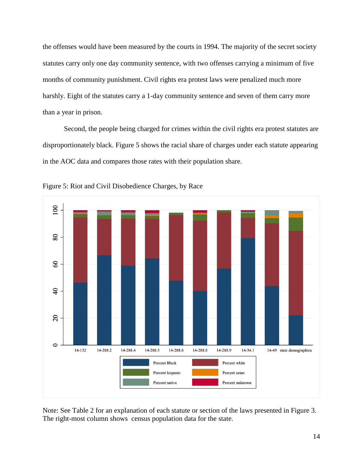the offenses would have been measured by the courts in 1994. The majority of the secret society statutes carry only one day community sentence, with two offenses carrying a minimum of five months of community punishment. Civil rights era protest laws were penalized much more harshly. Eight of the statutes carry a 1-day community sentence and seven of them carry more than a year in prison.

Second, the people being charged for crimes within the civil rights era protest statutes are disproportionately black. Figure 5 shows the racial share of charges under each statute appearing in the AOC data and compares those rates with their population share.



Figure 5: Riot and Civil Disobedience Charges, by Race

Note: See Table 2 for an explanation of each statute or section of the laws presented in Figure 3. The right-most column shows census population data for the state.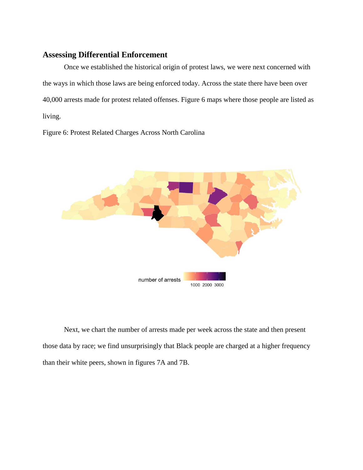## **Assessing Differential Enforcement**

Once we established the historical origin of protest laws, we were next concerned with the ways in which those laws are being enforced today. Across the state there have been over 40,000 arrests made for protest related offenses. Figure 6 maps where those people are listed as living.

Figure 6: Protest Related Charges Across North Carolina



Next, we chart the number of arrests made per week across the state and then present those data by race; we find unsurprisingly that Black people are charged at a higher frequency than their white peers, shown in figures 7A and 7B.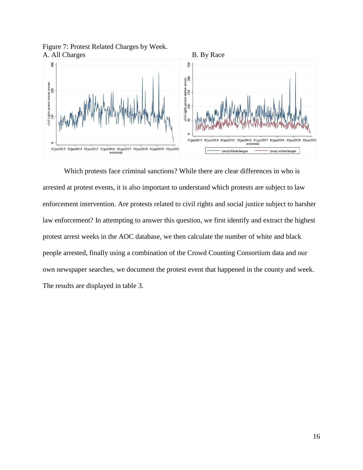



Which protests face criminal sanctions? While there are clear differences in who is arrested at protest events, it is also important to understand which protests are subject to law enforcement intervention. Are protests related to civil rights and social justice subject to harsher law enforcement? In attempting to answer this question, we first identify and extract the highest protest arrest weeks in the AOC database, we then calculate the number of white and black people arrested, finally using a combination of the Crowd Counting Consortium data and our own newspaper searches, we document the protest event that happened in the county and week. The results are displayed in table 3.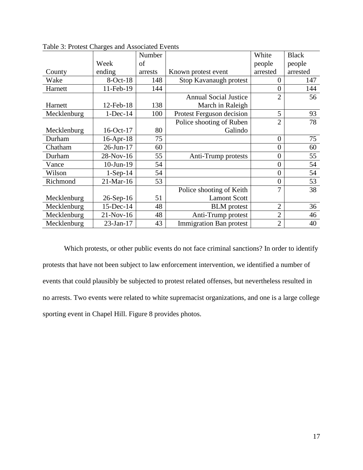|             |                 | Number  |                                | White          | <b>Black</b> |
|-------------|-----------------|---------|--------------------------------|----------------|--------------|
|             | Week            | of      |                                | people         | people       |
| County      | ending          | arrests | Known protest event            | arrested       | arrested     |
| Wake        | $8-Oct-18$      | 148     | Stop Kavanaugh protest         | $\theta$       | 147          |
| Harnett     | 11-Feb-19       | 144     |                                | 0              | 144          |
|             |                 |         | <b>Annual Social Justice</b>   | $\overline{2}$ | 56           |
| Harnett     | $12$ -Feb- $18$ | 138     | March in Raleigh               |                |              |
| Mecklenburg | $1-Dec-14$      | 100     | Protest Ferguson decision      | 5              | 93           |
|             |                 |         | Police shooting of Ruben       | $\overline{2}$ | 78           |
| Mecklenburg | 16-Oct-17       | 80      | Galindo                        |                |              |
| Durham      | $16$ -Apr- $18$ | 75      |                                | $\overline{0}$ | 75           |
| Chatham     | 26-Jun-17       | 60      |                                | 0              | 60           |
| Durham      | 28-Nov-16       | 55      | Anti-Trump protests            | 0              | 55           |
| Vance       | $10$ -Jun- $19$ | 54      |                                | 0              | 54           |
| Wilson      | $1-Sep-14$      | 54      |                                | $\overline{0}$ | 54           |
| Richmond    | 21-Mar-16       | 53      |                                | $\overline{0}$ | 53           |
|             |                 |         | Police shooting of Keith       | 7              | 38           |
| Mecklenburg | $26-Sep-16$     | 51      | <b>Lamont Scott</b>            |                |              |
| Mecklenburg | 15-Dec-14       | 48      | <b>BLM</b> protest             | $\overline{2}$ | 36           |
| Mecklenburg | 21-Nov-16       | 48      | Anti-Trump protest             | $\overline{2}$ | 46           |
| Mecklenburg | 23-Jan-17       | 43      | <b>Immigration Ban protest</b> | $\overline{2}$ | 40           |

Table 3: Protest Charges and Associated Events

Which protests, or other public events do not face criminal sanctions? In order to identify protests that have not been subject to law enforcement intervention, we identified a number of events that could plausibly be subjected to protest related offenses, but nevertheless resulted in no arrests. Two events were related to white supremacist organizations, and one is a large college sporting event in Chapel Hill. Figure 8 provides photos.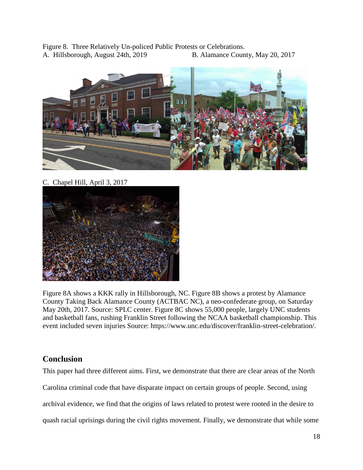Figure 8. Three Relatively Un-policed Public Protests or Celebrations. A. Hillsborough, August 24th, 2019 B. Alamance County, May 20, 2017



C. Chapel Hill, April 3, 2017



Figure 8A shows a KKK rally in Hillsborough, NC. Figure 8B shows a protest by Alamance County Taking Back Alamance County (ACTBAC NC), a neo-confederate group, on Saturday May 20th, 2017. Source: SPLC center. Figure 8C shows 55,000 people, largely UNC students and basketball fans, rushing Franklin Street following the NCAA basketball championship. This event included seven injuries Source: https://www.unc.edu/discover/franklin-street-celebration/.

## **Conclusion**

This paper had three different aims. First, we demonstrate that there are clear areas of the North Carolina criminal code that have disparate impact on certain groups of people. Second, using archival evidence, we find that the origins of laws related to protest were rooted in the desire to quash racial uprisings during the civil rights movement. Finally, we demonstrate that while some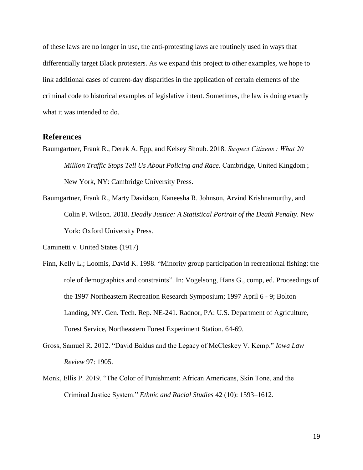of these laws are no longer in use, the anti-protesting laws are routinely used in ways that differentially target Black protesters. As we expand this project to other examples, we hope to link additional cases of current-day disparities in the application of certain elements of the criminal code to historical examples of legislative intent. Sometimes, the law is doing exactly what it was intended to do.

#### **References**

- Baumgartner, Frank R., Derek A. Epp, and Kelsey Shoub. 2018. *Suspect Citizens : What 20 Million Traffic Stops Tell Us About Policing and Race.* Cambridge, United Kingdom ; New York, NY: Cambridge University Press.
- Baumgartner, Frank R., Marty Davidson, Kaneesha R. Johnson, Arvind Krishnamurthy, and Colin P. Wilson. 2018. *Deadly Justice: A Statistical Portrait of the Death Penalty*. New York: Oxford University Press.

- Finn, Kelly L.; Loomis, David K. 1998. "Minority group participation in recreational fishing: the role of demographics and constraints". In: Vogelsong, Hans G., comp, ed. Proceedings of the 1997 Northeastern Recreation Research Symposium; 1997 April 6 - 9; Bolton Landing, NY. Gen. Tech. Rep. NE-241. Radnor, PA: U.S. Department of Agriculture, Forest Service, Northeastern Forest Experiment Station. 64-69.
- Gross, Samuel R. 2012. "David Baldus and the Legacy of McCleskey V. Kemp." *Iowa Law Review* 97: 1905.
- Monk, Ellis P. 2019. "The Color of Punishment: African Americans, Skin Tone, and the Criminal Justice System." *Ethnic and Racial Studies* 42 (10): 1593–1612.

Caminetti v. United States (1917)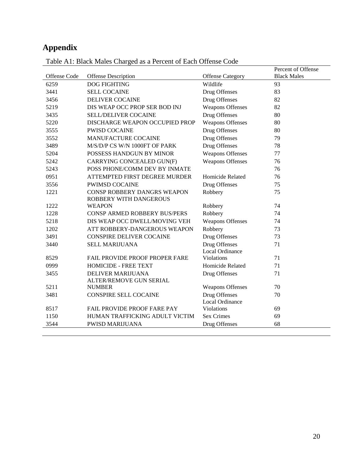# **Appendix**

|              |                                    |                                      | Percent of Offense |
|--------------|------------------------------------|--------------------------------------|--------------------|
| Offense Code | Offense Description                | <b>Offense Category</b>              | <b>Black Males</b> |
| 6259         | <b>DOG FIGHTING</b>                | Wildlife                             | 93                 |
| 3441         | <b>SELL COCAINE</b>                | Drug Offenses                        | 83                 |
| 3456         | <b>DELIVER COCAINE</b>             | Drug Offenses                        | 82                 |
| 5219         | DIS WEAP OCC PROP SER BOD INJ      | <b>Weapons Offenses</b>              | 82                 |
| 3435         | SELL/DELIVER COCAINE               | Drug Offenses                        | 80                 |
| 5220         | DISCHARGE WEAPON OCCUPIED PROP     | <b>Weapons Offenses</b>              | 80                 |
| 3555         | <b>PWISD COCAINE</b>               | Drug Offenses                        | 80                 |
| 3552         | MANUFACTURE COCAINE                | Drug Offenses                        | 79                 |
| 3489         | M/S/D/P CS W/N 1000FT OF PARK      | Drug Offenses                        | 78                 |
| 5204         | POSSESS HANDGUN BY MINOR           | <b>Weapons Offenses</b>              | 77                 |
| 5242         | CARRYING CONCEALED GUN(F)          | <b>Weapons Offenses</b>              | 76                 |
| 5243         | POSS PHONE/COMM DEV BY INMATE      |                                      | 76                 |
| 0951         | ATTEMPTED FIRST DEGREE MURDER      | Homicide Related                     | 76                 |
| 3556         | <b>PWIMSD COCAINE</b>              | Drug Offenses                        | 75                 |
| 1221         | CONSP ROBBERY DANGRS WEAPON        | Robbery                              | 75                 |
|              | ROBBERY WITH DANGEROUS             |                                      |                    |
| 1222         | <b>WEAPON</b>                      | Robbery                              | 74                 |
| 1228         | CONSP ARMED ROBBERY BUS/PERS       | Robbery                              | 74                 |
| 5218         | DIS WEAP OCC DWELL/MOVING VEH      | <b>Weapons Offenses</b>              | 74                 |
| 1202         | ATT ROBBERY-DANGEROUS WEAPON       | Robbery                              | 73                 |
| 3491         | <b>CONSPIRE DELIVER COCAINE</b>    | Drug Offenses                        | 73                 |
| 3440         | <b>SELL MARIJUANA</b>              | Drug Offenses                        | 71                 |
|              |                                    | Local Ordinance                      |                    |
| 8529         | FAIL PROVIDE PROOF PROPER FARE     | Violations                           | 71                 |
| 0999         | HOMICIDE - FREE TEXT               | Homicide Related                     | 71                 |
| 3455         | DELIVER MARIJUANA                  | Drug Offenses                        | 71                 |
|              | ALTER/REMOVE GUN SERIAL            |                                      |                    |
| 5211         | <b>NUMBER</b>                      | <b>Weapons Offenses</b>              | 70                 |
| 3481         | <b>CONSPIRE SELL COCAINE</b>       | Drug Offenses                        | 70                 |
|              | <b>FAIL PROVIDE PROOF FARE PAY</b> | Local Ordinance<br><b>Violations</b> |                    |
| 8517<br>1150 | HUMAN TRAFFICKING ADULT VICTIM     | <b>Sex Crimes</b>                    | 69<br>69           |
|              |                                    |                                      |                    |
| 3544         | <b>PWISD MARIJUANA</b>             | Drug Offenses                        | 68                 |

Table A1: Black Males Charged as a Percent of Each Offense Code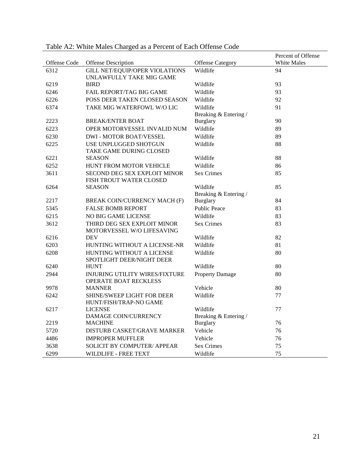| Offense Code | Offense Description                                               | <b>Offense Category</b>           | Percent of Offense<br>White Males |
|--------------|-------------------------------------------------------------------|-----------------------------------|-----------------------------------|
| 6312         | <b>GILL NET/EQUIP/OPER VIOLATIONS</b><br>UNLAWFULLY TAKE MIG GAME | Wildlife                          | 94                                |
| 6219         | <b>BIRD</b>                                                       | Wildlife                          | 93                                |
| 6246         | <b>FAIL REPORT/TAG BIG GAME</b>                                   | Wildlife                          | 93                                |
| 6226         | <b>POSS DEER TAKEN CLOSED SEASON</b>                              | Wildlife                          | 92                                |
| 6374         | TAKE MIG WATERFOWL W/O LIC                                        | Wildlife                          | 91                                |
|              |                                                                   | Breaking & Entering /             |                                   |
| 2223         | <b>BREAK/ENTER BOAT</b>                                           | <b>Burglary</b>                   | 90                                |
| 6223         | OPER MOTORVESSEL INVALID NUM                                      | Wildlife                          | 89                                |
| 6230         | <b>DWI - MOTOR BOAT/VESSEL</b>                                    | Wildlife                          | 89                                |
| 6225         | USE UNPLUGGED SHOTGUN<br>TAKE GAME DURING CLOSED                  | Wildlife                          | 88                                |
| 6221         | <b>SEASON</b>                                                     | Wildlife                          | 88                                |
| 6252         | HUNT FROM MOTOR VEHICLE                                           | Wildlife                          | 86                                |
| 3611         | <b>SECOND DEG SEX EXPLOIT MINOR</b><br>FISH TROUT WATER CLOSED    | <b>Sex Crimes</b>                 | 85                                |
| 6264         | <b>SEASON</b>                                                     | Wildlife                          | 85                                |
|              |                                                                   | Breaking & Entering /             |                                   |
| 2217         | BREAK COIN/CURRENCY MACH (F)                                      | <b>Burglary</b>                   | 84                                |
| 5345         | <b>FALSE BOMB REPORT</b>                                          | <b>Public Peace</b>               | 83                                |
| 6215         | NO BIG GAME LICENSE                                               | Wildlife                          | 83                                |
| 3612         | THIRD DEG SEX EXPLOIT MINOR<br>MOTORVESSEL W/O LIFESAVING         | <b>Sex Crimes</b>                 | 83                                |
| 6216         | <b>DEV</b>                                                        | Wildlife                          | 82                                |
| 6203         | HUNTING WITHOUT A LICENSE-NR                                      | Wildlife                          | 81                                |
| 6208         | HUNTING WITHOUT A LICENSE<br>SPOTLIGHT DEER/NIGHT DEER            | Wildlife                          | 80                                |
| 6240         | <b>HUNT</b>                                                       | Wildlife                          | 80                                |
| 2944         | <b>INJURING UTILITY WIRES/FIXTURE</b><br>OPERATE BOAT RECKLESS    | <b>Property Damage</b>            | 80                                |
| 9978         | <b>MANNER</b>                                                     | Vehicle                           | 80                                |
| 6242         | <b>SHINE/SWEEP LIGHT FOR DEER</b><br>HUNT/FISH/TRAP-NO GAME       | Wildlife                          | 77                                |
| 6217         | <b>LICENSE</b><br>DAMAGE COIN/CURRENCY                            | Wildlife<br>Breaking & Entering / | 77                                |
| 2219         | <b>MACHINE</b>                                                    | <b>Burglary</b>                   | 76                                |
| 5720         | DISTURB CASKET/GRAVE MARKER                                       | Vehicle                           | 76                                |
| 4486         | <b>IMPROPER MUFFLER</b>                                           | Vehicle                           | 76                                |
| 3638         | <b>SOLICIT BY COMPUTER/ APPEAR</b>                                | <b>Sex Crimes</b>                 | 75                                |
| 6299         | WILDLIFE - FREE TEXT                                              | Wildlife                          | 75                                |

Table A2: White Males Charged as a Percent of Each Offense Code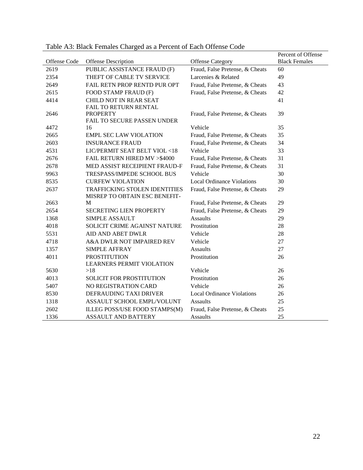|              |                                                                |                                   | Percent of Offense   |
|--------------|----------------------------------------------------------------|-----------------------------------|----------------------|
| Offense Code | Offense Description                                            | <b>Offense Category</b>           | <b>Black Females</b> |
| 2619         | PUBLIC ASSISTANCE FRAUD (F)                                    | Fraud, False Pretense, & Cheats   | 60                   |
| 2354         | THEFT OF CABLE TV SERVICE                                      | Larcenies & Related               | 49                   |
| 2649         | FAIL RETN PROP RENTD PUR OPT                                   | Fraud, False Pretense, & Cheats   | 43                   |
| 2615         | FOOD STAMP FRAUD (F)                                           | Fraud, False Pretense, & Cheats   | 42                   |
| 4414         | CHILD NOT IN REAR SEAT                                         |                                   | 41                   |
|              | FAIL TO RETURN RENTAL                                          |                                   |                      |
| 2646         | <b>PROPERTY</b>                                                | Fraud, False Pretense, & Cheats   | 39                   |
|              | FAIL TO SECURE PASSEN UNDER                                    | Vehicle                           |                      |
| 4472         | 16                                                             |                                   | 35                   |
| 2665         | <b>EMPL SEC LAW VIOLATION</b>                                  | Fraud, False Pretense, & Cheats   | 35                   |
| 2603         | <b>INSURANCE FRAUD</b>                                         | Fraud, False Pretense, & Cheats   | 34                   |
| 4531         | LIC/PERMIT SEAT BELT VIOL <18                                  | Vehicle                           | 33                   |
| 2676         | FAIL RETURN HIRED MV >\$4000                                   | Fraud, False Pretense, & Cheats   | 31                   |
| 2678         | MED ASSIST RECEIPIENT FRAUD-F                                  | Fraud, False Pretense, & Cheats   | 31                   |
| 9963         | TRESPASS/IMPEDE SCHOOL BUS                                     | Vehicle                           | 30                   |
| 8535         | <b>CURFEW VIOLATION</b>                                        | <b>Local Ordinance Violations</b> | 30                   |
| 2637         | TRAFFICKING STOLEN IDENTITIES<br>MISREP TO OBTAIN ESC BENEFIT- | Fraud, False Pretense, & Cheats   | 29                   |
| 2663         | M                                                              | Fraud, False Pretense, & Cheats   | 29                   |
| 2654         | SECRETING LIEN PROPERTY                                        | Fraud, False Pretense, & Cheats   | 29                   |
| 1368         | <b>SIMPLE ASSAULT</b>                                          | <b>Assaults</b>                   | 29                   |
| 4018         | SOLICIT CRIME AGAINST NATURE                                   | Prostitution                      | 28                   |
| 5531         | <b>AID AND ABET DWLR</b>                                       | Vehicle                           | 28                   |
| 4718         | A&A DWLR NOT IMPAIRED REV                                      | Vehicle                           | 27                   |
| 1357         | <b>SIMPLE AFFRAY</b>                                           | <b>Assaults</b>                   | 27                   |
| 4011         | <b>PROSTITUTION</b>                                            | Prostitution                      | 26                   |
|              | <b>LEARNERS PERMIT VIOLATION</b>                               |                                   |                      |
| 5630         | >18                                                            | Vehicle                           | 26                   |
| 4013         | SOLICIT FOR PROSTITUTION                                       | Prostitution                      | 26                   |
| 5407         | NO REGISTRATION CARD                                           | Vehicle                           | 26                   |
| 8530         | DEFRAUDING TAXI DRIVER                                         | <b>Local Ordinance Violations</b> | 26                   |
| 1318         | ASSAULT SCHOOL EMPL/VOLUNT                                     | <b>Assaults</b>                   | 25                   |
| 2602         | ILLEG POSS/USE FOOD STAMPS(M)                                  | Fraud, False Pretense, & Cheats   | 25                   |
| 1336         | <b>ASSAULT AND BATTERY</b>                                     | <b>Assaults</b>                   | 25                   |

Table A3: Black Females Charged as a Percent of Each Offense Code